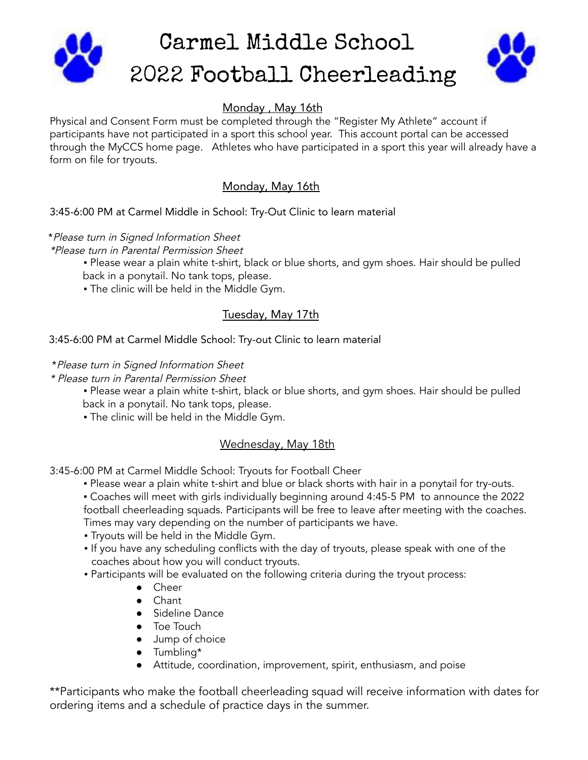

# Monday , May 16th

Physical and Consent Form must be completed through the "Register My Athlete" account if participants have not participated in a sport this school year. This account portal can be accessed through the MyCCS home page. Athletes who have participated in a sport this year will already have a form on file for tryouts.

# Monday, May 16th

### 3:45-6:00 PM at Carmel Middle in School: Try-Out Clinic to learn material

\*Please turn in Signed Information Sheet \*Please turn in Parental Permission Sheet

- . Please wear a plain white t-shirt, black or blue shorts, and gym shoes. Hair should be pulled back in a ponytail. No tank tops, please.
- . The clinic will be held in the Middle Gym.

## Tuesday, May 17th

#### 3:45-6:00 PM at Carmel Middle School: Try-out Clinic to learn material

#### \*Please turn in Signed Information Sheet

\* Please turn in Parental Permission Sheet

- . Please wear a plain white t-shirt, black or blue shorts, and gym shoes. Hair should be pulled back in a ponytail. No tank tops, please.
- The clinic will be held in the Middle Gym.

### Wednesday, May 18th

3:45-6:00 PM at Carmel Middle School: Tryouts for Football Cheer

. Please wear a plain white t-shirt and blue or black shorts with hair in a ponytail for try-outs.

▪ Coaches will meet with girls individually beginning around 4:45-5 PM to announce the 2022 football cheerleading squads. Participants will be free to leave after meeting with the coaches. Times may vary depending on the number of participants we have.

- Tryouts will be held in the Middle Gym.
- If you have any scheduling conflicts with the day of tryouts, please speak with one of the coaches about how you will conduct tryouts.
- Participants will be evaluated on the following criteria during the tryout process:
	- Cheer
	- Chant
	- Sideline Dance
	- Toe Touch
	- Jump of choice
	- Tumbling\*
	- Attitude, coordination, improvement, spirit, enthusiasm, and poise

\*\*Participants who make the football cheerleading squad will receive information with dates for ordering items and a schedule of practice days in the summer.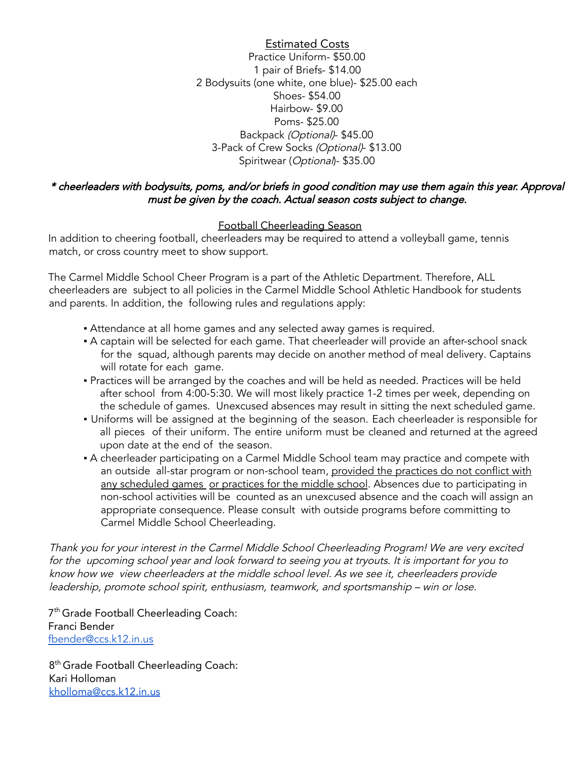Estimated Costs Practice Uniform- \$50.00 1 pair of Briefs- \$14.00 2 Bodysuits (one white, one blue)- \$25.00 each Shoes- \$54.00 Hairbow- \$9.00 Poms- \$25.00 Backpack (Optional)- \$45.00 3-Pack of Crew Socks (Optional)- \$13.00 Spiritwear (Optional)- \$35.00

#### \* cheerleaders with bodysuits, poms, and/or briefs in good condition may use them again this year. Approval must be given by the coach. Actual season costs subject to change.

### Football Cheerleading Season

In addition to cheering football, cheerleaders may be required to attend a volleyball game, tennis match, or cross country meet to show support.

The Carmel Middle School Cheer Program is a part of the Athletic Department. Therefore, ALL cheerleaders are subject to all policies in the Carmel Middle School Athletic Handbook for students and parents. In addition, the following rules and regulations apply:

- **EXTED Attendance at all home games and any selected away games is required.**
- A captain will be selected for each game. That cheerleader will provide an after-school snack for the squad, although parents may decide on another method of meal delivery. Captains will rotate for each game.
- Practices will be arranged by the coaches and will be held as needed. Practices will be held after school from 4:00-5:30. We will most likely practice 1-2 times per week, depending on the schedule of games. Unexcused absences may result in sitting the next scheduled game.
- Uniforms will be assigned at the beginning of the season. Each cheerleader is responsible for all pieces of their uniform. The entire uniform must be cleaned and returned at the agreed upon date at the end of the season.
- A cheerleader participating on a Carmel Middle School team may practice and compete with an outside all-star program or non-school team, provided the practices do not conflict with any scheduled games or practices for the middle school. Absences due to participating in non-school activities will be counted as an unexcused absence and the coach will assign an appropriate consequence. Please consult with outside programs before committing to Carmel Middle School Cheerleading.

Thank you for your interest in the Carmel Middle School Cheerleading Program! We are very excited for the upcoming school year and look forward to seeing you at tryouts. It is important for you to know how we view cheerleaders at the middle school level. As we see it, cheerleaders provide leadership, promote school spirit, enthusiasm, teamwork, and sportsmanship – win or lose.

7<sup>th</sup> Grade Football Cheerleading Coach: Franci Bender [fbender@ccs.k12.in.us](mailto:fbender@ccs.k12.in.us)

8<sup>th</sup> Grade Football Cheerleading Coach: Kari Holloman [kholloma@ccs.k12.in.us](mailto:kholloma@ccs.k12.in.us)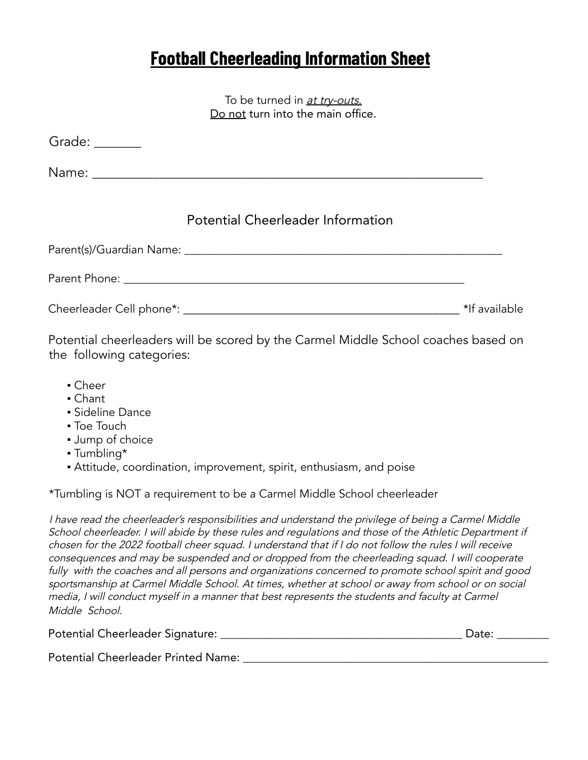# **Football Cheerleading Information Sheet**

To be turned in at try-outs. Do not turn into the main office.

| Grade: $\_\_\_\_\_\_\_\_\_\_\_\_$ |                                          |  |
|-----------------------------------|------------------------------------------|--|
|                                   |                                          |  |
|                                   | <b>Potential Cheerleader Information</b> |  |
|                                   |                                          |  |
|                                   |                                          |  |
|                                   |                                          |  |

Potential cheerleaders will be scored by the Carmel Middle School coaches based on the following categories:

- Cheer
- Chant
- **Sideline Dance**
- Toe Touch
- Jump of choice
- Tumbling\*
- Attitude, coordination, improvement, spirit, enthusiasm, and poise

\*Tumbling is NOT a requirement to be a Carmel Middle School cheerleader

<sup>I</sup> have read the cheerleader's responsibilities and understand the privilege of being <sup>a</sup> Carmel Middle School cheerleader. I will abide by these rules and regulations and those of the Athletic Department if chosen for the <sup>2022</sup> football cheer squad. <sup>I</sup> understand that if <sup>I</sup> do not follow the rules <sup>I</sup> will receive consequences and may be suspended and or dropped from the cheerleading squad. <sup>I</sup> will cooperate fully with the coaches and all persons and organizations concerned to promote school spirit and good sportsmanship at Carmel Middle School. At times, whether at school or away from school or on social media, <sup>I</sup> will conduct myself in <sup>a</sup> manner that best represents the students and faculty at Carmel Middle School.

| Potential Cheerleader Signature: |  |  |
|----------------------------------|--|--|
|----------------------------------|--|--|

Potential Cheerleader Printed Name: \_\_\_\_\_\_\_\_\_\_\_\_\_\_\_\_\_\_\_\_\_\_\_\_\_\_\_\_\_\_\_\_\_\_\_\_\_\_\_\_\_\_\_\_\_\_\_\_\_\_\_\_\_